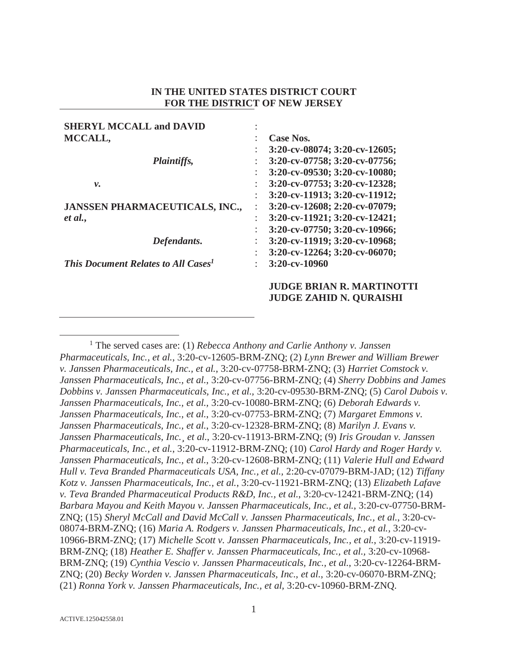# **IN THE UNITED STATES DISTRICT COURT FOR THE DISTRICT OF NEW JERSEY**

| <b>SHERYL MCCALL and DAVID</b>                  |                      |                                     |
|-------------------------------------------------|----------------------|-------------------------------------|
| MCCALL,                                         | ٠                    | Case Nos.                           |
|                                                 |                      | $3:20$ -cv-08074; $3:20$ -cv-12605; |
| <i>Plaintiffs,</i><br>ν.                        |                      | 3:20-cv-07758; 3:20-cv-07756;       |
|                                                 | $\ddot{\phantom{a}}$ | 3:20-cv-09530; 3:20-cv-10080;       |
|                                                 | $\ddot{\cdot}$       | 3:20-cv-07753; 3:20-cv-12328;       |
|                                                 |                      | 3:20-cv-11913; 3:20-cv-11912;       |
| <b>JANSSEN PHARMACEUTICALS, INC.,</b>           |                      | $3:20$ -cv-12608; 2:20-cv-07079;    |
| et al.,                                         | $\ddot{\cdot}$       | 3:20-cv-11921; 3:20-cv-12421;       |
|                                                 | ٠                    | 3:20-cv-07750; 3:20-cv-10966;       |
| Defendants.                                     |                      | 3:20-cv-11919; 3:20-cv-10968;       |
|                                                 |                      | $3:20$ -cv-12264; $3:20$ -cv-06070; |
| This Document Relates to All Cases <sup>1</sup> | ٠                    | $3:20$ -cv-10960                    |
|                                                 |                      | <b>JUDGE BRIAN R. MARTINOTTI</b>    |
|                                                 |                      | <b>JUDGE ZAHID N. OURAISHI</b>      |

 $\overline{\phantom{a}}$  The served cases are: (1) *Rebecca Anthony and Carlie Anthony v. Janssen Pharmaceuticals, Inc., et al.*, 3:20-cv-12605-BRM-ZNQ; (2) *Lynn Brewer and William Brewer v. Janssen Pharmaceuticals, Inc., et al.*, 3:20-cv-07758-BRM-ZNQ; (3) *Harriet Comstock v. Janssen Pharmaceuticals, Inc., et al.*, 3:20-cv-07756-BRM-ZNQ; (4) *Sherry Dobbins and James Dobbins v. Janssen Pharmaceuticals, Inc., et al.,* 3:20-cv-09530-BRM-ZNQ; (5) *Carol Dubois v. Janssen Pharmaceuticals, Inc., et al.,* 3:20-cv-10080-BRM-ZNQ; (6) *Deborah Edwards v. Janssen Pharmaceuticals, Inc., et al.*, 3:20-cv-07753-BRM-ZNQ; (7) *Margaret Emmons v. Janssen Pharmaceuticals, Inc., et al.*, 3:20-cv-12328-BRM-ZNQ; (8) *Marilyn J. Evans v. Janssen Pharmaceuticals, Inc.¸ et al.*, 3:20-cv-11913-BRM-ZNQ; (9) *Iris Groudan v. Janssen Pharmaceuticals, Inc., et al.*, 3:20-cv-11912-BRM-ZNQ; (10) *Carol Hardy and Roger Hardy v. Janssen Pharmaceuticals, Inc., et al.*, 3:20-cv-12608-BRM-ZNQ; (11) *Valerie Hull and Edward Hull v. Teva Branded Pharmaceuticals USA, Inc., et al.,* 2:20-cv-07079-BRM-JAD; (12) *Tiffany Kotz v. Janssen Pharmaceuticals, Inc., et al.*, 3:20-cv-11921-BRM-ZNQ; (13) *Elizabeth Lafave v. Teva Branded Pharmaceutical Products R&D, Inc., et al.*, 3:20-cv-12421-BRM-ZNQ; (14) *Barbara Mayou and Keith Mayou v. Janssen Pharmaceuticals, Inc., et al.*, 3:20-cv-07750-BRM-ZNQ; (15) *Sheryl McCall and David McCall v. Janssen Pharmaceuticals, Inc., et al.*, 3:20-cv-08074-BRM-ZNQ; (16) *Maria A. Rodgers v. Janssen Pharmaceuticals, Inc., et al.,* 3:20-cv-10966-BRM-ZNQ; (17) *Michelle Scott v. Janssen Pharmaceuticals, Inc., et al.*, 3:20-cv-11919- BRM-ZNQ; (18) *Heather E. Shaffer v. Janssen Pharmaceuticals, Inc., et al.,* 3:20-cv-10968- BRM-ZNQ; (19) *Cynthia Vescio v. Janssen Pharmaceuticals, Inc., et al.*, 3:20-cv-12264-BRM-ZNQ; (20) *Becky Worden v. Janssen Pharmaceuticals, Inc., et al.*, 3:20-cv-06070-BRM-ZNQ; (21) *Ronna York v. Janssen Pharmaceuticals, Inc., et al,* 3:20-cv-10960-BRM-ZNQ.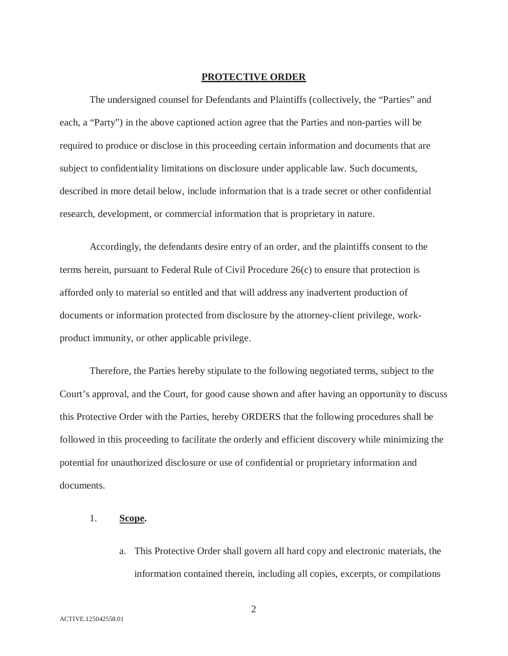#### **PROTECTIVE ORDER**

The undersigned counsel for Defendants and Plaintiffs (collectively, the "Parties" and each, a "Party") in the above captioned action agree that the Parties and non-parties will be required to produce or disclose in this proceeding certain information and documents that are subject to confidentiality limitations on disclosure under applicable law. Such documents, described in more detail below, include information that is a trade secret or other confidential research, development, or commercial information that is proprietary in nature.

Accordingly, the defendants desire entry of an order, and the plaintiffs consent to the terms herein, pursuant to Federal Rule of Civil Procedure 26(c) to ensure that protection is afforded only to material so entitled and that will address any inadvertent production of documents or information protected from disclosure by the attorney-client privilege, workproduct immunity, or other applicable privilege.

Therefore, the Parties hereby stipulate to the following negotiated terms, subject to the Court's approval, and the Court, for good cause shown and after having an opportunity to discuss this Protective Order with the Parties, hereby ORDERS that the following procedures shall be followed in this proceeding to facilitate the orderly and efficient discovery while minimizing the potential for unauthorized disclosure or use of confidential or proprietary information and documents.

# 1. **Scope.**

a. This Protective Order shall govern all hard copy and electronic materials, the information contained therein, including all copies, excerpts, or compilations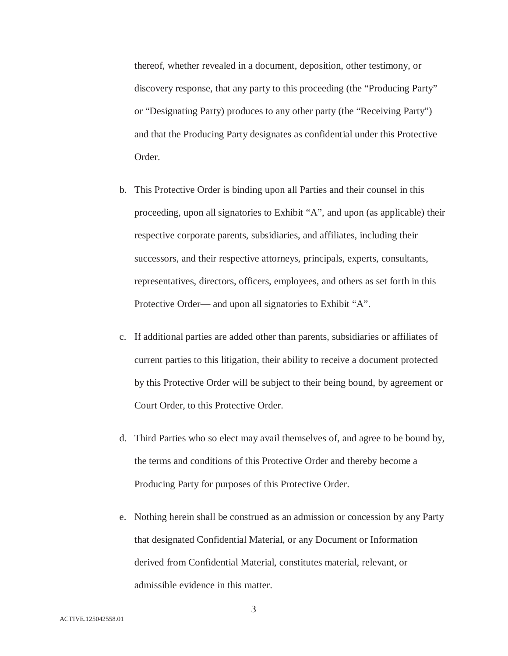thereof, whether revealed in a document, deposition, other testimony, or discovery response, that any party to this proceeding (the "Producing Party" or "Designating Party) produces to any other party (the "Receiving Party") and that the Producing Party designates as confidential under this Protective Order.

- b. This Protective Order is binding upon all Parties and their counsel in this proceeding, upon all signatories to Exhibit "A", and upon (as applicable) their respective corporate parents, subsidiaries, and affiliates, including their successors, and their respective attorneys, principals, experts, consultants, representatives, directors, officers, employees, and others as set forth in this Protective Order— and upon all signatories to Exhibit "A".
- c. If additional parties are added other than parents, subsidiaries or affiliates of current parties to this litigation, their ability to receive a document protected by this Protective Order will be subject to their being bound, by agreement or Court Order, to this Protective Order.
- d. Third Parties who so elect may avail themselves of, and agree to be bound by, the terms and conditions of this Protective Order and thereby become a Producing Party for purposes of this Protective Order.
- e. Nothing herein shall be construed as an admission or concession by any Party that designated Confidential Material, or any Document or Information derived from Confidential Material, constitutes material, relevant, or admissible evidence in this matter.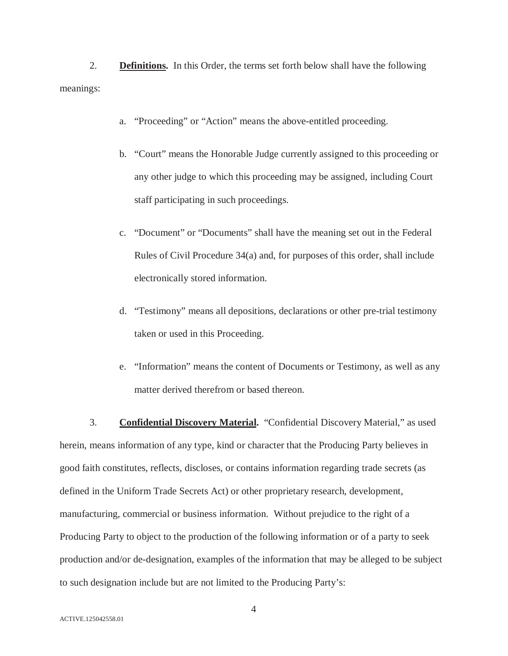2. **Definitions.** In this Order, the terms set forth below shall have the following meanings:

- a. "Proceeding" or "Action" means the above-entitled proceeding.
- b. "Court" means the Honorable Judge currently assigned to this proceeding or any other judge to which this proceeding may be assigned, including Court staff participating in such proceedings.
- c. "Document" or "Documents" shall have the meaning set out in the Federal Rules of Civil Procedure 34(a) and, for purposes of this order, shall include electronically stored information.
- d. "Testimony" means all depositions, declarations or other pre-trial testimony taken or used in this Proceeding.
- e. "Information" means the content of Documents or Testimony, as well as any matter derived therefrom or based thereon.

3. **Confidential Discovery Material.** "Confidential Discovery Material," as used herein, means information of any type, kind or character that the Producing Party believes in good faith constitutes, reflects, discloses, or contains information regarding trade secrets (as defined in the Uniform Trade Secrets Act) or other proprietary research, development, manufacturing, commercial or business information. Without prejudice to the right of a Producing Party to object to the production of the following information or of a party to seek production and/or de-designation, examples of the information that may be alleged to be subject to such designation include but are not limited to the Producing Party's: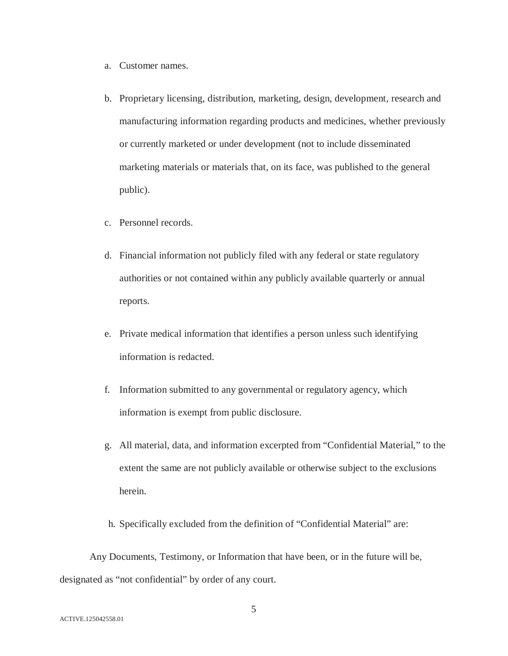- a. Customer names.
- b. Proprietary licensing, distribution, marketing, design, development, research and manufacturing information regarding products and medicines, whether previously or currently marketed or under development (not to include disseminated marketing materials or materials that, on its face, was published to the general public).
- c. Personnel records.
- d. Financial information not publicly filed with any federal or state regulatory authorities or not contained within any publicly available quarterly or annual reports.
- e. Private medical information that identifies a person unless such identifying information is redacted.
- f. Information submitted to any governmental or regulatory agency, which information is exempt from public disclosure.
- g. All material, data, and information excerpted from "Confidential Material," to the extent the same are not publicly available or otherwise subject to the exclusions herein.
- h. Specifically excluded from the definition of "Confidential Material" are:

Any Documents, Testimony, or Information that have been, or in the future will be, designated as "not confidential" by order of any court.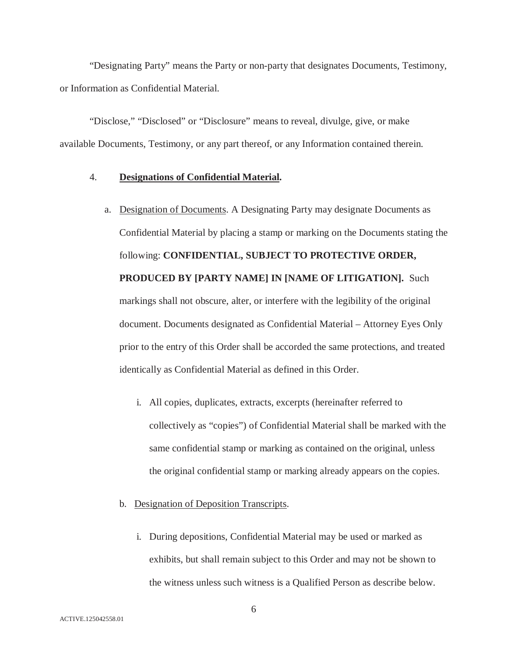"Designating Party" means the Party or non-party that designates Documents, Testimony, or Information as Confidential Material.

"Disclose," "Disclosed" or "Disclosure" means to reveal, divulge, give, or make available Documents, Testimony, or any part thereof, or any Information contained therein.

### 4. **Designations of Confidential Material.**

- a. Designation of Documents. A Designating Party may designate Documents as Confidential Material by placing a stamp or marking on the Documents stating the following: **CONFIDENTIAL, SUBJECT TO PROTECTIVE ORDER, PRODUCED BY [PARTY NAME] IN [NAME OF LITIGATION].** Such markings shall not obscure, alter, or interfere with the legibility of the original document. Documents designated as Confidential Material – Attorney Eyes Only prior to the entry of this Order shall be accorded the same protections, and treated identically as Confidential Material as defined in this Order.
	- i. All copies, duplicates, extracts, excerpts (hereinafter referred to collectively as "copies") of Confidential Material shall be marked with the same confidential stamp or marking as contained on the original, unless the original confidential stamp or marking already appears on the copies.
	- b. Designation of Deposition Transcripts.
		- i. During depositions, Confidential Material may be used or marked as exhibits, but shall remain subject to this Order and may not be shown to the witness unless such witness is a Qualified Person as describe below.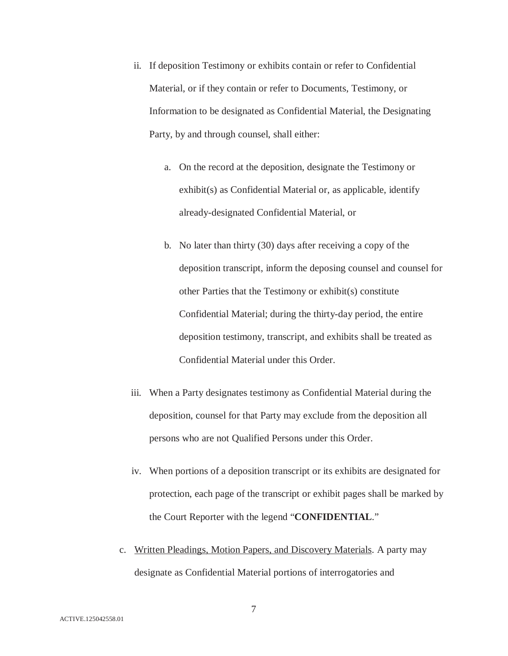- ii. If deposition Testimony or exhibits contain or refer to Confidential Material, or if they contain or refer to Documents, Testimony, or Information to be designated as Confidential Material, the Designating Party, by and through counsel, shall either:
	- a. On the record at the deposition, designate the Testimony or exhibit(s) as Confidential Material or, as applicable, identify already-designated Confidential Material, or
	- b. No later than thirty (30) days after receiving a copy of the deposition transcript, inform the deposing counsel and counsel for other Parties that the Testimony or exhibit(s) constitute Confidential Material; during the thirty-day period, the entire deposition testimony, transcript, and exhibits shall be treated as Confidential Material under this Order.
- iii. When a Party designates testimony as Confidential Material during the deposition, counsel for that Party may exclude from the deposition all persons who are not Qualified Persons under this Order.
- iv. When portions of a deposition transcript or its exhibits are designated for protection, each page of the transcript or exhibit pages shall be marked by the Court Reporter with the legend "**CONFIDENTIAL**."
- c. Written Pleadings, Motion Papers, and Discovery Materials. A party may designate as Confidential Material portions of interrogatories and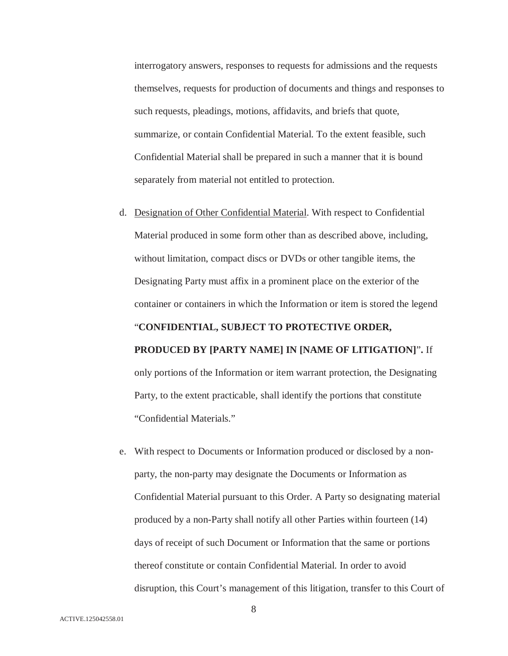interrogatory answers, responses to requests for admissions and the requests themselves, requests for production of documents and things and responses to such requests, pleadings, motions, affidavits, and briefs that quote, summarize, or contain Confidential Material. To the extent feasible, such Confidential Material shall be prepared in such a manner that it is bound separately from material not entitled to protection.

- d. Designation of Other Confidential Material. With respect to Confidential Material produced in some form other than as described above, including, without limitation, compact discs or DVDs or other tangible items, the Designating Party must affix in a prominent place on the exterior of the container or containers in which the Information or item is stored the legend "**CONFIDENTIAL, SUBJECT TO PROTECTIVE ORDER, PRODUCED BY [PARTY NAME] IN [NAME OF LITIGATION]**"**.** If only portions of the Information or item warrant protection, the Designating Party, to the extent practicable, shall identify the portions that constitute "Confidential Materials."
- e. With respect to Documents or Information produced or disclosed by a nonparty, the non-party may designate the Documents or Information as Confidential Material pursuant to this Order. A Party so designating material produced by a non-Party shall notify all other Parties within fourteen (14) days of receipt of such Document or Information that the same or portions thereof constitute or contain Confidential Material. In order to avoid disruption, this Court's management of this litigation, transfer to this Court of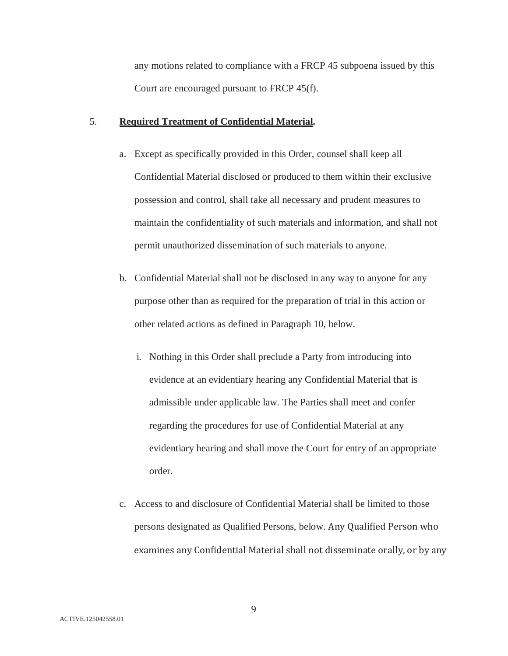any motions related to compliance with a FRCP 45 subpoena issued by this Court are encouraged pursuant to FRCP 45(f).

## 5. **Required Treatment of Confidential Material.**

- a. Except as specifically provided in this Order, counsel shall keep all Confidential Material disclosed or produced to them within their exclusive possession and control, shall take all necessary and prudent measures to maintain the confidentiality of such materials and information, and shall not permit unauthorized dissemination of such materials to anyone.
- b. Confidential Material shall not be disclosed in any way to anyone for any purpose other than as required for the preparation of trial in this action or other related actions as defined in Paragraph 10, below.
	- i. Nothing in this Order shall preclude a Party from introducing into evidence at an evidentiary hearing any Confidential Material that is admissible under applicable law. The Parties shall meet and confer regarding the procedures for use of Confidential Material at any evidentiary hearing and shall move the Court for entry of an appropriate order.
- c. Access to and disclosure of Confidential Material shall be limited to those persons designated as Qualified Persons, below. examines any Confidential Material shall not disseminate orally, or by any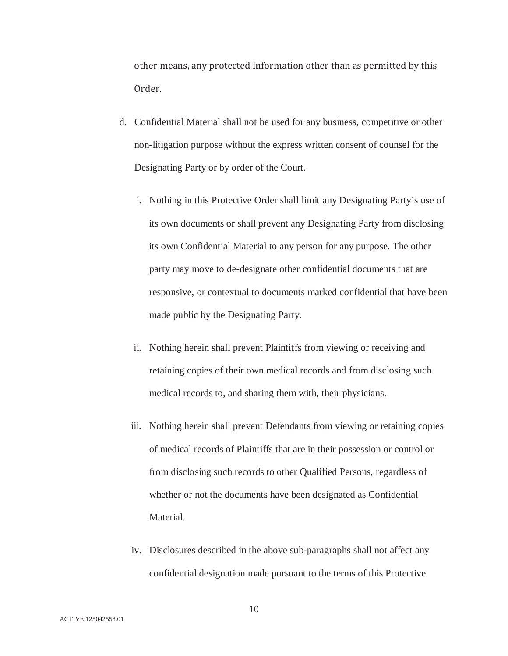other means, any protected information other than as permitted by this Order.

- d. Confidential Material shall not be used for any business, competitive or other non-litigation purpose without the express written consent of counsel for the Designating Party or by order of the Court.
	- i. Nothing in this Protective Order shall limit any Designating Party's use of its own documents or shall prevent any Designating Party from disclosing its own Confidential Material to any person for any purpose. The other party may move to de-designate other confidential documents that are responsive, or contextual to documents marked confidential that have been made public by the Designating Party.
	- ii. Nothing herein shall prevent Plaintiffs from viewing or receiving and retaining copies of their own medical records and from disclosing such medical records to, and sharing them with, their physicians.
	- iii. Nothing herein shall prevent Defendants from viewing or retaining copies of medical records of Plaintiffs that are in their possession or control or from disclosing such records to other Qualified Persons, regardless of whether or not the documents have been designated as Confidential Material.
	- iv. Disclosures described in the above sub-paragraphs shall not affect any confidential designation made pursuant to the terms of this Protective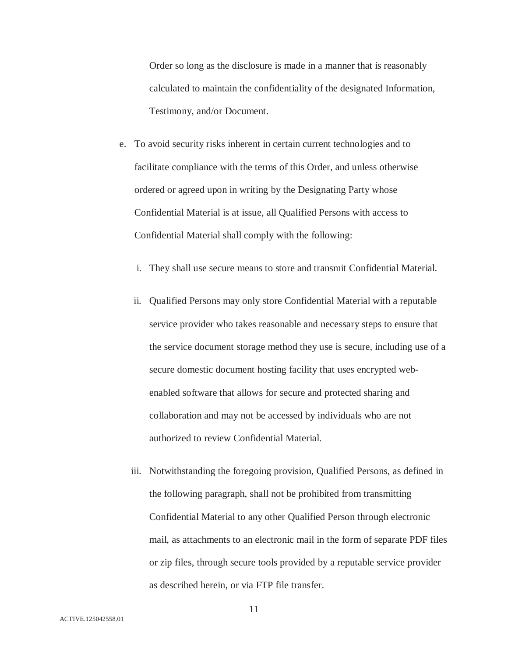Order so long as the disclosure is made in a manner that is reasonably calculated to maintain the confidentiality of the designated Information, Testimony, and/or Document.

- e. To avoid security risks inherent in certain current technologies and to facilitate compliance with the terms of this Order, and unless otherwise ordered or agreed upon in writing by the Designating Party whose Confidential Material is at issue, all Qualified Persons with access to Confidential Material shall comply with the following:
	- i. They shall use secure means to store and transmit Confidential Material.
	- ii. Qualified Persons may only store Confidential Material with a reputable service provider who takes reasonable and necessary steps to ensure that the service document storage method they use is secure, including use of a secure domestic document hosting facility that uses encrypted webenabled software that allows for secure and protected sharing and collaboration and may not be accessed by individuals who are not authorized to review Confidential Material.
	- iii. Notwithstanding the foregoing provision, Qualified Persons, as defined in the following paragraph, shall not be prohibited from transmitting Confidential Material to any other Qualified Person through electronic mail, as attachments to an electronic mail in the form of separate PDF files or zip files, through secure tools provided by a reputable service provider as described herein, or via FTP file transfer.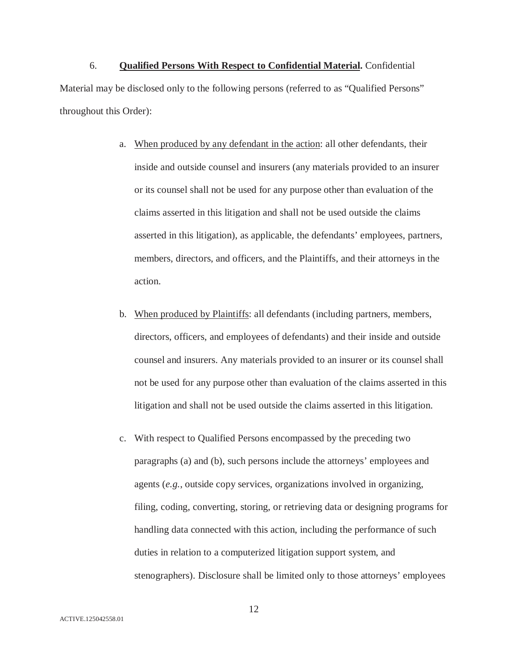6. **Qualified Persons With Respect to Confidential Material.** Confidential Material may be disclosed only to the following persons (referred to as "Qualified Persons" throughout this Order):

- a. When produced by any defendant in the action: all other defendants, their inside and outside counsel and insurers (any materials provided to an insurer or its counsel shall not be used for any purpose other than evaluation of the claims asserted in this litigation and shall not be used outside the claims asserted in this litigation), as applicable, the defendants' employees, partners, members, directors, and officers, and the Plaintiffs, and their attorneys in the action.
- b. When produced by Plaintiffs: all defendants (including partners, members, directors, officers, and employees of defendants) and their inside and outside counsel and insurers. Any materials provided to an insurer or its counsel shall not be used for any purpose other than evaluation of the claims asserted in this litigation and shall not be used outside the claims asserted in this litigation.
- c. With respect to Qualified Persons encompassed by the preceding two paragraphs (a) and (b), such persons include the attorneys' employees and agents (*e.g.*, outside copy services, organizations involved in organizing, filing, coding, converting, storing, or retrieving data or designing programs for handling data connected with this action, including the performance of such duties in relation to a computerized litigation support system, and stenographers). Disclosure shall be limited only to those attorneys' employees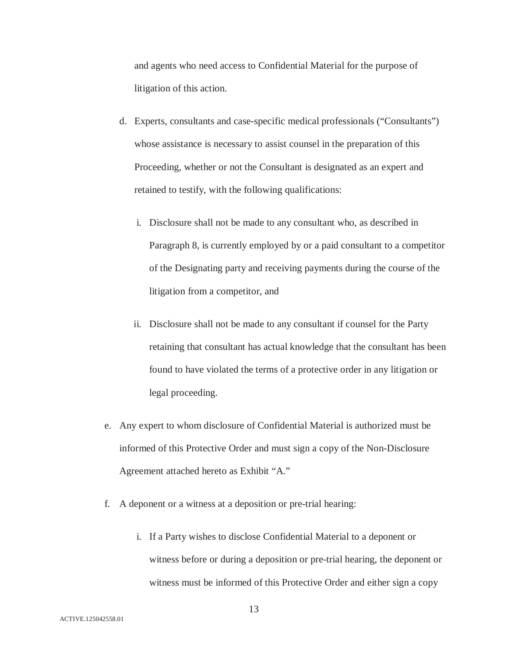and agents who need access to Confidential Material for the purpose of litigation of this action.

- d. Experts, consultants and case-specific medical professionals ("Consultants") whose assistance is necessary to assist counsel in the preparation of this Proceeding, whether or not the Consultant is designated as an expert and retained to testify, with the following qualifications:
	- i. Disclosure shall not be made to any consultant who, as described in Paragraph 8, is currently employed by or a paid consultant to a competitor of the Designating party and receiving payments during the course of the litigation from a competitor, and
	- ii. Disclosure shall not be made to any consultant if counsel for the Party retaining that consultant has actual knowledge that the consultant has been found to have violated the terms of a protective order in any litigation or legal proceeding.
- e. Any expert to whom disclosure of Confidential Material is authorized must be informed of this Protective Order and must sign a copy of the Non-Disclosure Agreement attached hereto as Exhibit "A."
- f. A deponent or a witness at a deposition or pre-trial hearing:
	- i. If a Party wishes to disclose Confidential Material to a deponent or witness before or during a deposition or pre-trial hearing, the deponent or witness must be informed of this Protective Order and either sign a copy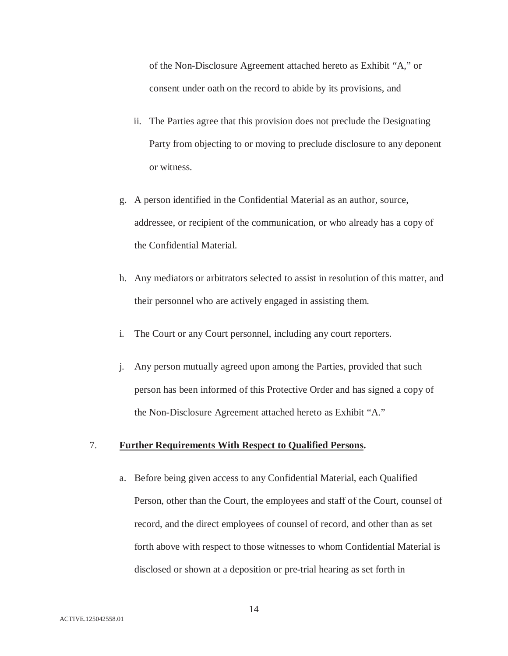of the Non-Disclosure Agreement attached hereto as Exhibit "A," or consent under oath on the record to abide by its provisions, and

- ii. The Parties agree that this provision does not preclude the Designating Party from objecting to or moving to preclude disclosure to any deponent or witness.
- g. A person identified in the Confidential Material as an author, source, addressee, or recipient of the communication, or who already has a copy of the Confidential Material.
- h. Any mediators or arbitrators selected to assist in resolution of this matter, and their personnel who are actively engaged in assisting them.
- i. The Court or any Court personnel, including any court reporters.
- j. Any person mutually agreed upon among the Parties, provided that such person has been informed of this Protective Order and has signed a copy of the Non-Disclosure Agreement attached hereto as Exhibit "A."

### 7. **Further Requirements With Respect to Qualified Persons.**

a. Before being given access to any Confidential Material, each Qualified Person, other than the Court, the employees and staff of the Court, counsel of record, and the direct employees of counsel of record, and other than as set forth above with respect to those witnesses to whom Confidential Material is disclosed or shown at a deposition or pre-trial hearing as set forth in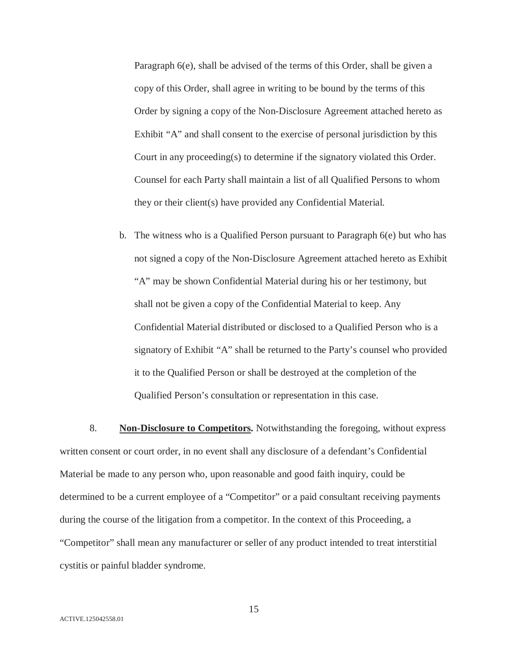Paragraph 6(e), shall be advised of the terms of this Order, shall be given a copy of this Order, shall agree in writing to be bound by the terms of this Order by signing a copy of the Non-Disclosure Agreement attached hereto as Exhibit "A" and shall consent to the exercise of personal jurisdiction by this Court in any proceeding(s) to determine if the signatory violated this Order. Counsel for each Party shall maintain a list of all Qualified Persons to whom they or their client(s) have provided any Confidential Material.

b. The witness who is a Qualified Person pursuant to Paragraph 6(e) but who has not signed a copy of the Non-Disclosure Agreement attached hereto as Exhibit "A" may be shown Confidential Material during his or her testimony, but shall not be given a copy of the Confidential Material to keep. Any Confidential Material distributed or disclosed to a Qualified Person who is a signatory of Exhibit "A" shall be returned to the Party's counsel who provided it to the Qualified Person or shall be destroyed at the completion of the Qualified Person's consultation or representation in this case.

8. **Non-Disclosure to Competitors.** Notwithstanding the foregoing, without express written consent or court order, in no event shall any disclosure of a defendant's Confidential Material be made to any person who, upon reasonable and good faith inquiry, could be determined to be a current employee of a "Competitor" or a paid consultant receiving payments during the course of the litigation from a competitor. In the context of this Proceeding, a "Competitor" shall mean any manufacturer or seller of any product intended to treat interstitial cystitis or painful bladder syndrome.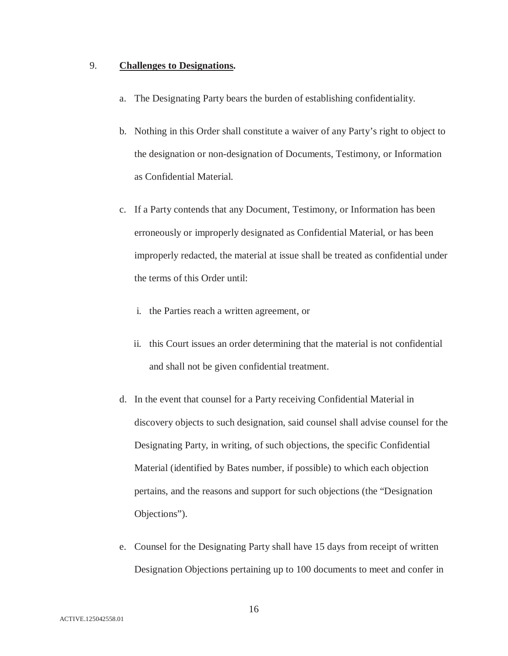# 9. **Challenges to Designations.**

- a. The Designating Party bears the burden of establishing confidentiality.
- b. Nothing in this Order shall constitute a waiver of any Party's right to object to the designation or non-designation of Documents, Testimony, or Information as Confidential Material.
- c. If a Party contends that any Document, Testimony, or Information has been erroneously or improperly designated as Confidential Material, or has been improperly redacted, the material at issue shall be treated as confidential under the terms of this Order until:
	- i. the Parties reach a written agreement, or
	- ii. this Court issues an order determining that the material is not confidential and shall not be given confidential treatment.
- d. In the event that counsel for a Party receiving Confidential Material in discovery objects to such designation, said counsel shall advise counsel for the Designating Party, in writing, of such objections, the specific Confidential Material (identified by Bates number, if possible) to which each objection pertains, and the reasons and support for such objections (the "Designation Objections").
- e. Counsel for the Designating Party shall have 15 days from receipt of written Designation Objections pertaining up to 100 documents to meet and confer in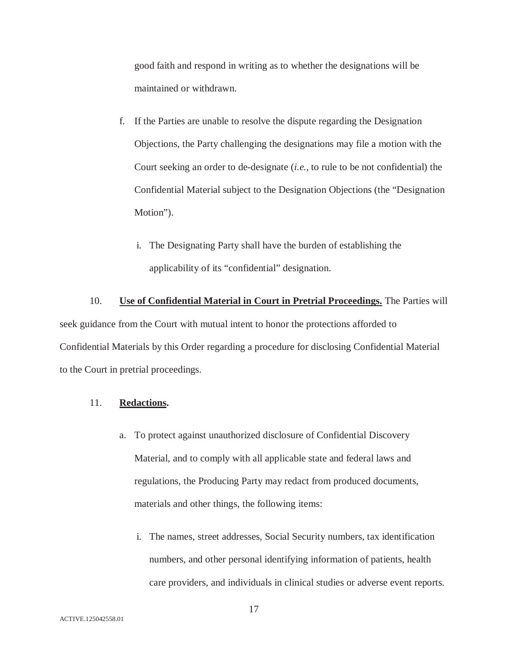good faith and respond in writing as to whether the designations will be maintained or withdrawn.

- f. If the Parties are unable to resolve the dispute regarding the Designation Objections, the Party challenging the designations may file a motion with the Court seeking an order to de-designate (*i.e.*, to rule to be not confidential) the Confidential Material subject to the Designation Objections (the "Designation Motion").
	- i. The Designating Party shall have the burden of establishing the applicability of its "confidential" designation.

10. **Use of Confidential Material in Court in Pretrial Proceedings.** The Parties will seek guidance from the Court with mutual intent to honor the protections afforded to Confidential Materials by this Order regarding a procedure for disclosing Confidential Material to the Court in pretrial proceedings.

## 11. **Redactions.**

- a. To protect against unauthorized disclosure of Confidential Discovery Material, and to comply with all applicable state and federal laws and regulations, the Producing Party may redact from produced documents, materials and other things, the following items:
	- i. The names, street addresses, Social Security numbers, tax identification numbers, and other personal identifying information of patients, health care providers, and individuals in clinical studies or adverse event reports.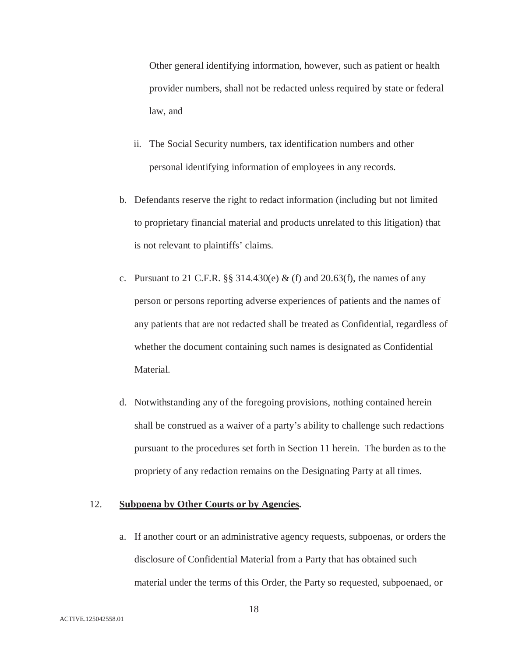Other general identifying information, however, such as patient or health provider numbers, shall not be redacted unless required by state or federal law, and

- ii. The Social Security numbers, tax identification numbers and other personal identifying information of employees in any records.
- b. Defendants reserve the right to redact information (including but not limited to proprietary financial material and products unrelated to this litigation) that is not relevant to plaintiffs' claims.
- c. Pursuant to 21 C.F.R.  $\S$  314.430(e) & (f) and 20.63(f), the names of any person or persons reporting adverse experiences of patients and the names of any patients that are not redacted shall be treated as Confidential, regardless of whether the document containing such names is designated as Confidential Material.
- d. Notwithstanding any of the foregoing provisions, nothing contained herein shall be construed as a waiver of a party's ability to challenge such redactions pursuant to the procedures set forth in Section 11 herein. The burden as to the propriety of any redaction remains on the Designating Party at all times.

## 12. **Subpoena by Other Courts or by Agencies.**

a. If another court or an administrative agency requests, subpoenas, or orders the disclosure of Confidential Material from a Party that has obtained such material under the terms of this Order, the Party so requested, subpoenaed, or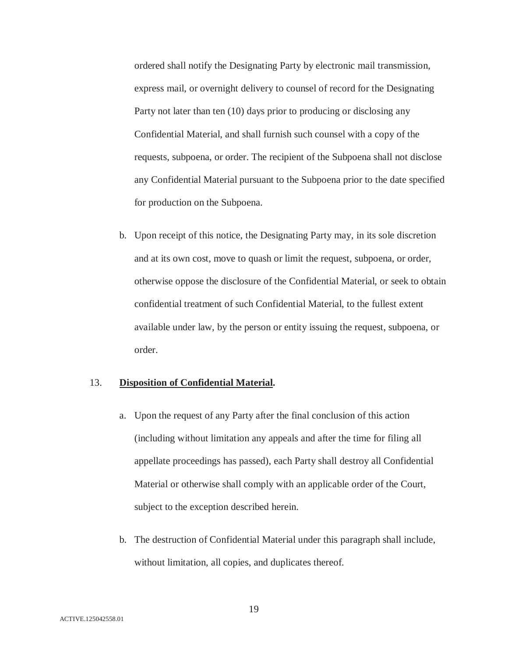ordered shall notify the Designating Party by electronic mail transmission, express mail, or overnight delivery to counsel of record for the Designating Party not later than ten (10) days prior to producing or disclosing any Confidential Material, and shall furnish such counsel with a copy of the requests, subpoena, or order. The recipient of the Subpoena shall not disclose any Confidential Material pursuant to the Subpoena prior to the date specified for production on the Subpoena.

b. Upon receipt of this notice, the Designating Party may, in its sole discretion and at its own cost, move to quash or limit the request, subpoena, or order, otherwise oppose the disclosure of the Confidential Material, or seek to obtain confidential treatment of such Confidential Material, to the fullest extent available under law, by the person or entity issuing the request, subpoena, or order.

## 13. **Disposition of Confidential Material.**

- a. Upon the request of any Party after the final conclusion of this action (including without limitation any appeals and after the time for filing all appellate proceedings has passed), each Party shall destroy all Confidential Material or otherwise shall comply with an applicable order of the Court, subject to the exception described herein.
- b. The destruction of Confidential Material under this paragraph shall include, without limitation, all copies, and duplicates thereof.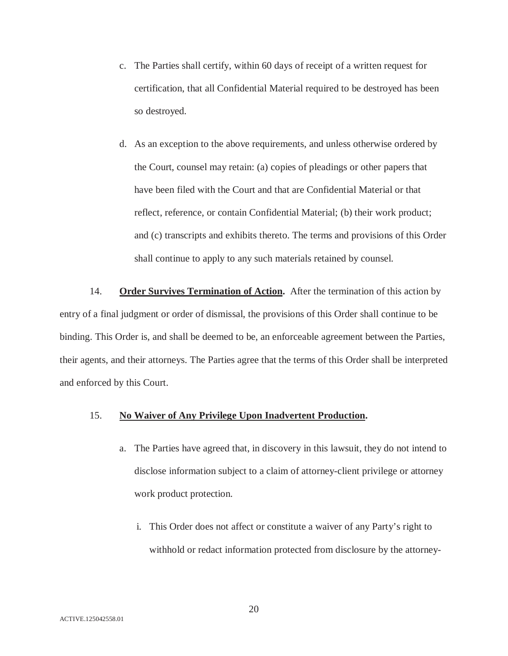- c. The Parties shall certify, within 60 days of receipt of a written request for certification, that all Confidential Material required to be destroyed has been so destroyed.
- d. As an exception to the above requirements, and unless otherwise ordered by the Court, counsel may retain: (a) copies of pleadings or other papers that have been filed with the Court and that are Confidential Material or that reflect, reference, or contain Confidential Material; (b) their work product; and (c) transcripts and exhibits thereto. The terms and provisions of this Order shall continue to apply to any such materials retained by counsel.

14. **Order Survives Termination of Action.** After the termination of this action by entry of a final judgment or order of dismissal, the provisions of this Order shall continue to be binding. This Order is, and shall be deemed to be, an enforceable agreement between the Parties, their agents, and their attorneys. The Parties agree that the terms of this Order shall be interpreted and enforced by this Court.

# 15. **No Waiver of Any Privilege Upon Inadvertent Production.**

- a. The Parties have agreed that, in discovery in this lawsuit, they do not intend to disclose information subject to a claim of attorney-client privilege or attorney work product protection.
	- i. This Order does not affect or constitute a waiver of any Party's right to withhold or redact information protected from disclosure by the attorney-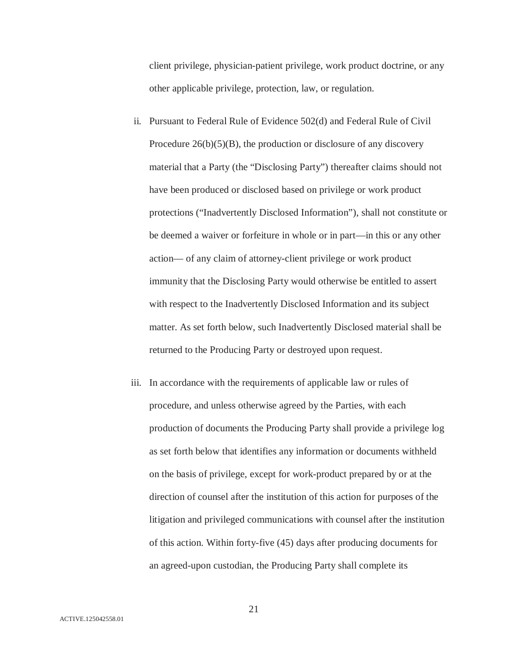client privilege, physician-patient privilege, work product doctrine, or any other applicable privilege, protection, law, or regulation.

- ii. Pursuant to Federal Rule of Evidence 502(d) and Federal Rule of Civil Procedure 26(b)(5)(B), the production or disclosure of any discovery material that a Party (the "Disclosing Party") thereafter claims should not have been produced or disclosed based on privilege or work product protections ("Inadvertently Disclosed Information"), shall not constitute or be deemed a waiver or forfeiture in whole or in part—in this or any other action— of any claim of attorney-client privilege or work product immunity that the Disclosing Party would otherwise be entitled to assert with respect to the Inadvertently Disclosed Information and its subject matter. As set forth below, such Inadvertently Disclosed material shall be returned to the Producing Party or destroyed upon request.
- iii. In accordance with the requirements of applicable law or rules of procedure, and unless otherwise agreed by the Parties, with each production of documents the Producing Party shall provide a privilege log as set forth below that identifies any information or documents withheld on the basis of privilege, except for work-product prepared by or at the direction of counsel after the institution of this action for purposes of the litigation and privileged communications with counsel after the institution of this action. Within forty-five (45) days after producing documents for an agreed-upon custodian, the Producing Party shall complete its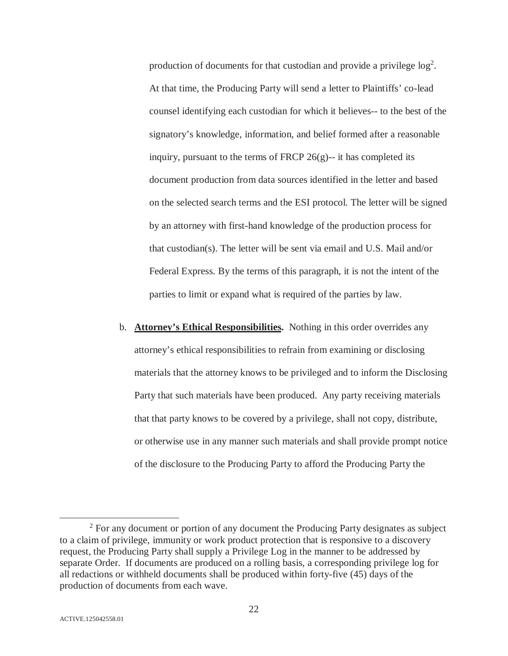production of documents for that custodian and provide a privilege  $log<sup>2</sup>$ . At that time, the Producing Party will send a letter to Plaintiffs' co-lead counsel identifying each custodian for which it believes-- to the best of the signatory's knowledge, information, and belief formed after a reasonable inquiry, pursuant to the terms of FRCP 26(g)-- it has completed its document production from data sources identified in the letter and based on the selected search terms and the ESI protocol. The letter will be signed by an attorney with first-hand knowledge of the production process for that custodian(s). The letter will be sent via email and U.S. Mail and/or Federal Express. By the terms of this paragraph, it is not the intent of the parties to limit or expand what is required of the parties by law.

b. **Attorney's Ethical Responsibilities.** Nothing in this order overrides any attorney's ethical responsibilities to refrain from examining or disclosing materials that the attorney knows to be privileged and to inform the Disclosing Party that such materials have been produced. Any party receiving materials that that party knows to be covered by a privilege, shall not copy, distribute, or otherwise use in any manner such materials and shall provide prompt notice of the disclosure to the Producing Party to afford the Producing Party the

 $\frac{1}{2}$ <sup>2</sup> For any document or portion of any document the Producing Party designates as subject to a claim of privilege, immunity or work product protection that is responsive to a discovery request, the Producing Party shall supply a Privilege Log in the manner to be addressed by separate Order. If documents are produced on a rolling basis, a corresponding privilege log for all redactions or withheld documents shall be produced within forty-five (45) days of the production of documents from each wave.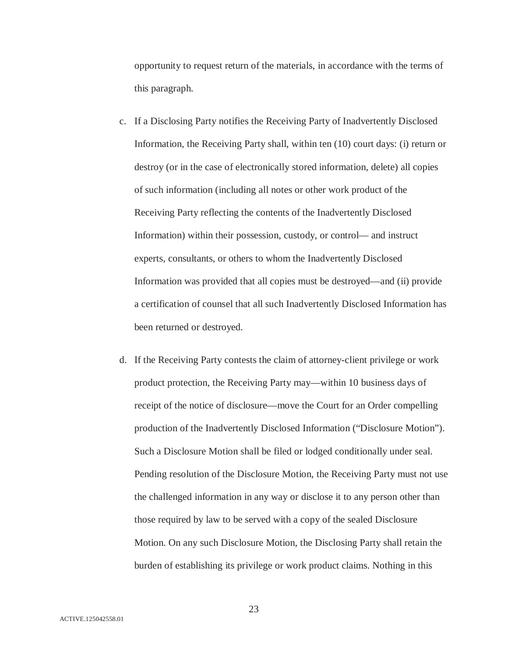opportunity to request return of the materials, in accordance with the terms of this paragraph.

- c. If a Disclosing Party notifies the Receiving Party of Inadvertently Disclosed Information, the Receiving Party shall, within ten (10) court days: (i) return or destroy (or in the case of electronically stored information, delete) all copies of such information (including all notes or other work product of the Receiving Party reflecting the contents of the Inadvertently Disclosed Information) within their possession, custody, or control— and instruct experts, consultants, or others to whom the Inadvertently Disclosed Information was provided that all copies must be destroyed—and (ii) provide a certification of counsel that all such Inadvertently Disclosed Information has been returned or destroyed.
- d. If the Receiving Party contests the claim of attorney-client privilege or work product protection, the Receiving Party may—within 10 business days of receipt of the notice of disclosure—move the Court for an Order compelling production of the Inadvertently Disclosed Information ("Disclosure Motion"). Such a Disclosure Motion shall be filed or lodged conditionally under seal. Pending resolution of the Disclosure Motion, the Receiving Party must not use the challenged information in any way or disclose it to any person other than those required by law to be served with a copy of the sealed Disclosure Motion. On any such Disclosure Motion, the Disclosing Party shall retain the burden of establishing its privilege or work product claims. Nothing in this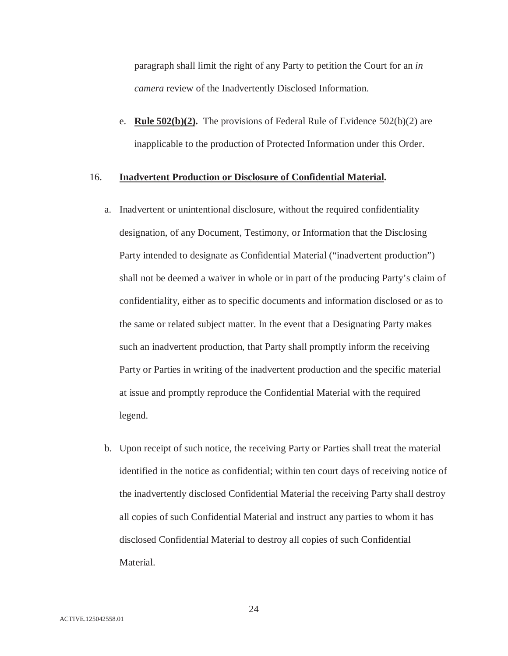paragraph shall limit the right of any Party to petition the Court for an *in camera* review of the Inadvertently Disclosed Information.

e. **Rule 502(b)(2).** The provisions of Federal Rule of Evidence 502(b)(2) are inapplicable to the production of Protected Information under this Order.

## 16. **Inadvertent Production or Disclosure of Confidential Material.**

- a. Inadvertent or unintentional disclosure, without the required confidentiality designation, of any Document, Testimony, or Information that the Disclosing Party intended to designate as Confidential Material ("inadvertent production") shall not be deemed a waiver in whole or in part of the producing Party's claim of confidentiality, either as to specific documents and information disclosed or as to the same or related subject matter. In the event that a Designating Party makes such an inadvertent production, that Party shall promptly inform the receiving Party or Parties in writing of the inadvertent production and the specific material at issue and promptly reproduce the Confidential Material with the required legend.
- b. Upon receipt of such notice, the receiving Party or Parties shall treat the material identified in the notice as confidential; within ten court days of receiving notice of the inadvertently disclosed Confidential Material the receiving Party shall destroy all copies of such Confidential Material and instruct any parties to whom it has disclosed Confidential Material to destroy all copies of such Confidential Material.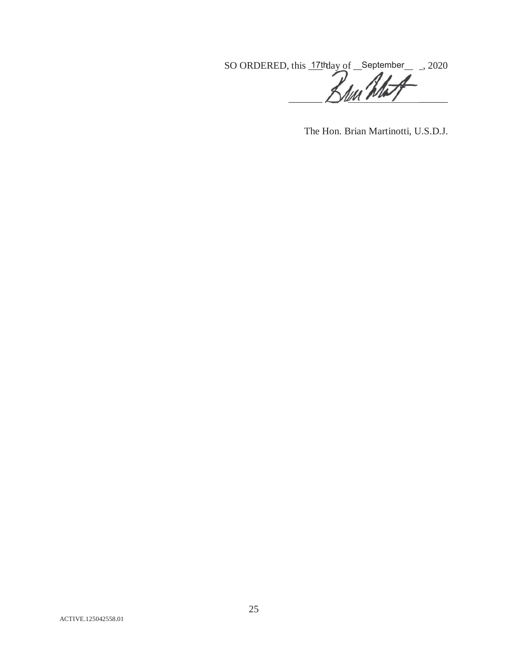SO ORDERED, this  $17$ <sup>th</sup>day of September  $\_\_$ , 2020  $\prime$  $\Box$ 

The Hon. Brian Martinotti, U.S.D.J.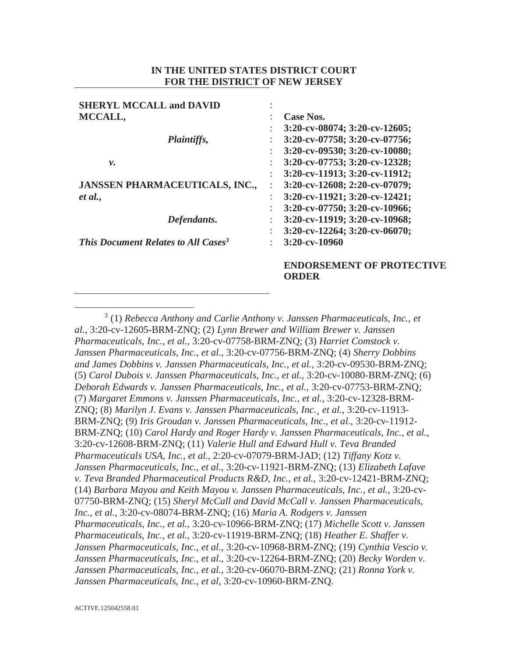## **IN THE UNITED STATES DISTRICT COURT FOR THE DISTRICT OF NEW JERSEY**

| <b>SHERYL MCCALL and DAVID</b>                         |                                          |
|--------------------------------------------------------|------------------------------------------|
| MCCALL,                                                | Case Nos.                                |
|                                                        | 3:20-cv-08074; 3:20-cv-12605;            |
| <i>Plaintiffs,</i>                                     | 3:20-cv-07758; 3:20-cv-07756;            |
|                                                        | 3:20-cv-09530; 3:20-cv-10080;            |
| ν.                                                     | 3:20-cv-07753; 3:20-cv-12328;            |
|                                                        | $3:20$ -cv-11913; $3:20$ -cv-11912;      |
| <b>JANSSEN PHARMACEUTICALS, INC.,</b>                  | $3:20$ -cv-12608; 2:20-cv-07079;         |
| et al.,                                                | $3:20$ -cv-11921; $3:20$ -cv-12421;<br>÷ |
|                                                        | 3:20-cv-07750; 3:20-cv-10966;            |
| Defendants.                                            | 3:20-cv-11919; 3:20-cv-10968;            |
|                                                        | $3:20$ -cv-12264; $3:20$ -cv-06070;      |
| <b>This Document Relates to All Cases</b> <sup>3</sup> | 3:20-cv-10960                            |
|                                                        | <b>ENDORSEMENT OF PROTECTI</b>           |

**ORDER** 

 $\frac{1}{3}$  (1) *Rebecca Anthony and Carlie Anthony v. Janssen Pharmaceuticals, Inc., et al.*, 3:20-cv-12605-BRM-ZNQ; (2) *Lynn Brewer and William Brewer v. Janssen Pharmaceuticals, Inc., et al.*, 3:20-cv-07758-BRM-ZNQ; (3) *Harriet Comstock v. Janssen Pharmaceuticals, Inc., et al.*, 3:20-cv-07756-BRM-ZNQ; (4) *Sherry Dobbins and James Dobbins v. Janssen Pharmaceuticals, Inc., et al.,* 3:20-cv-09530-BRM-ZNQ; (5) *Carol Dubois v. Janssen Pharmaceuticals, Inc., et al.,* 3:20-cv-10080-BRM-ZNQ; (6) *Deborah Edwards v. Janssen Pharmaceuticals, Inc., et al.*, 3:20-cv-07753-BRM-ZNQ; (7) *Margaret Emmons v. Janssen Pharmaceuticals, Inc., et al.*, 3:20-cv-12328-BRM-ZNQ; (8) *Marilyn J. Evans v. Janssen Pharmaceuticals, Inc.¸ et al.*, 3:20-cv-11913- BRM-ZNQ; (9) *Iris Groudan v. Janssen Pharmaceuticals, Inc., et al.*, 3:20-cv-11912- BRM-ZNQ; (10) *Carol Hardy and Roger Hardy v. Janssen Pharmaceuticals, Inc., et al.*, 3:20-cv-12608-BRM-ZNQ; (11) *Valerie Hull and Edward Hull v. Teva Branded Pharmaceuticals USA, Inc., et al.,* 2:20-cv-07079-BRM-JAD; (12) *Tiffany Kotz v. Janssen Pharmaceuticals, Inc., et al.*, 3:20-cv-11921-BRM-ZNQ; (13) *Elizabeth Lafave v. Teva Branded Pharmaceutical Products R&D, Inc., et al.*, 3:20-cv-12421-BRM-ZNQ; (14) *Barbara Mayou and Keith Mayou v. Janssen Pharmaceuticals, Inc., et al.*, 3:20-cv-07750-BRM-ZNQ; (15) *Sheryl McCall and David McCall v. Janssen Pharmaceuticals, Inc., et al.*, 3:20-cv-08074-BRM-ZNQ; (16) *Maria A. Rodgers v. Janssen Pharmaceuticals, Inc., et al.,* 3:20-cv-10966-BRM-ZNQ; (17) *Michelle Scott v. Janssen Pharmaceuticals, Inc., et al.*, 3:20-cv-11919-BRM-ZNQ; (18) *Heather E. Shaffer v. Janssen Pharmaceuticals, Inc., et al.,* 3:20-cv-10968-BRM-ZNQ; (19) *Cynthia Vescio v. Janssen Pharmaceuticals, Inc., et al.*, 3:20-cv-12264-BRM-ZNQ; (20) *Becky Worden v. Janssen Pharmaceuticals, Inc., et al.*, 3:20-cv-06070-BRM-ZNQ; (21) *Ronna York v. Janssen Pharmaceuticals, Inc., et al,* 3:20-cv-10960-BRM-ZNQ.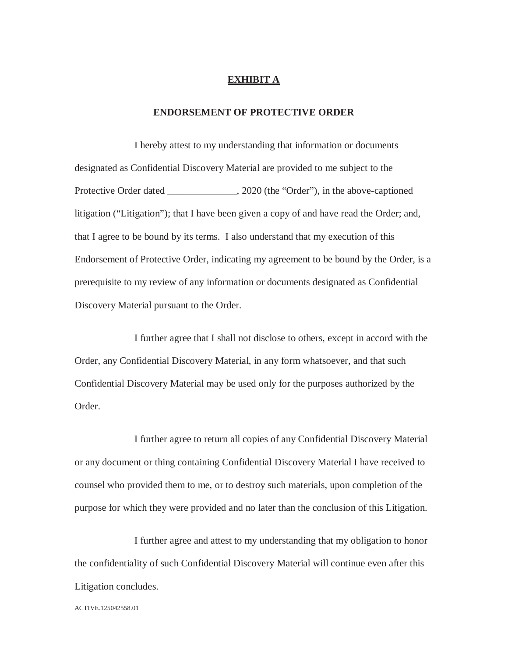## **EXHIBIT A**

#### **ENDORSEMENT OF PROTECTIVE ORDER**

I hereby attest to my understanding that information or documents designated as Confidential Discovery Material are provided to me subject to the Protective Order dated \_\_\_\_\_\_\_\_\_\_\_\_\_, 2020 (the "Order"), in the above-captioned litigation ("Litigation"); that I have been given a copy of and have read the Order; and, that I agree to be bound by its terms. I also understand that my execution of this Endorsement of Protective Order, indicating my agreement to be bound by the Order, is a prerequisite to my review of any information or documents designated as Confidential Discovery Material pursuant to the Order.

I further agree that I shall not disclose to others, except in accord with the Order, any Confidential Discovery Material, in any form whatsoever, and that such Confidential Discovery Material may be used only for the purposes authorized by the Order.

I further agree to return all copies of any Confidential Discovery Material or any document or thing containing Confidential Discovery Material I have received to counsel who provided them to me, or to destroy such materials, upon completion of the purpose for which they were provided and no later than the conclusion of this Litigation.

I further agree and attest to my understanding that my obligation to honor the confidentiality of such Confidential Discovery Material will continue even after this Litigation concludes.

ACTIVE.125042558.01